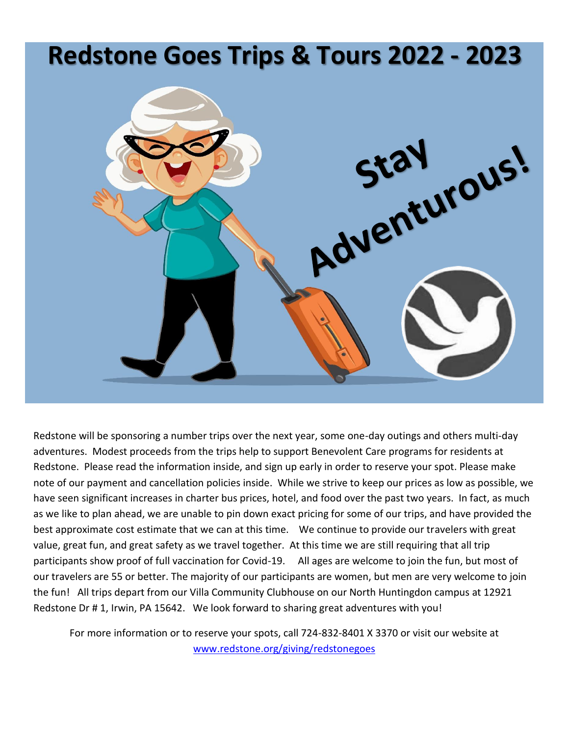# **Redstone Goes Trips & Tours 2022 - 2023**



Redstone will be sponsoring a number trips over the next year, some one-day outings and others multi-day adventures. Modest proceeds from the trips help to support Benevolent Care programs for residents at Redstone. Please read the information inside, and sign up early in order to reserve your spot. Please make note of our payment and cancellation policies inside. While we strive to keep our prices as low as possible, we have seen significant increases in charter bus prices, hotel, and food over the past two years. In fact, as much as we like to plan ahead, we are unable to pin down exact pricing for some of our trips, and have provided the best approximate cost estimate that we can at this time. We continue to provide our travelers with great value, great fun, and great safety as we travel together. At this time we are still requiring that all trip participants show proof of full vaccination for Covid-19. All ages are welcome to join the fun, but most of our travelers are 55 or better. The majority of our participants are women, but men are very welcome to join the fun! All trips depart from our Villa Community Clubhouse on our North Huntingdon campus at 12921 Redstone Dr # 1, Irwin, PA 15642. We look forward to sharing great adventures with you!

For more information or to reserve your spots, call 724-832-8401 X 3370 or visit our website at [www.redstone.org/giving/redstonegoes](http://www.redstone.org/giving/redstonegoes)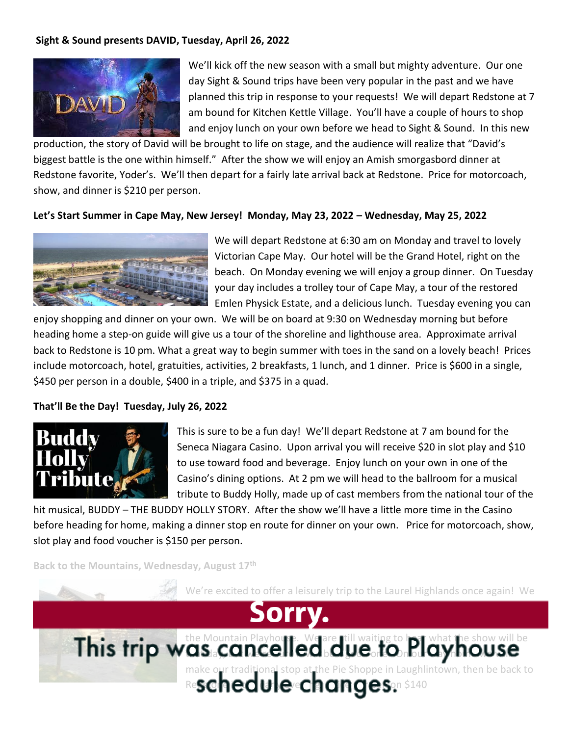# **Sight & Sound presents DAVID, Tuesday, April 26, 2022**



We'll kick off the new season with a small but mighty adventure. Our one day Sight & Sound trips have been very popular in the past and we have planned this trip in response to your requests! We will depart Redstone at 7 am bound for Kitchen Kettle Village. You'll have a couple of hours to shop and enjoy lunch on your own before we head to Sight & Sound. In this new

production, the story of David will be brought to life on stage, and the audience will realize that "David's biggest battle is the one within himself." After the show we will enjoy an Amish smorgasbord dinner at Redstone favorite, Yoder's. We'll then depart for a fairly late arrival back at Redstone. Price for motorcoach, show, and dinner is \$210 per person.

#### **Let's Start Summer in Cape May, New Jersey! Monday, May 23, 2022 – Wednesday, May 25, 2022**



We will depart Redstone at 6:30 am on Monday and travel to lovely Victorian Cape May. Our hotel will be the Grand Hotel, right on the beach. On Monday evening we will enjoy a group dinner. On Tuesday your day includes a trolley tour of Cape May, a tour of the restored Emlen Physick Estate, and a delicious lunch. Tuesday evening you can

enjoy shopping and dinner on your own. We will be on board at 9:30 on Wednesday morning but before heading home a step-on guide will give us a tour of the shoreline and lighthouse area. Approximate arrival back to Redstone is 10 pm. What a great way to begin summer with toes in the sand on a lovely beach! Prices include motorcoach, hotel, gratuities, activities, 2 breakfasts, 1 lunch, and 1 dinner. Price is \$600 in a single, \$450 per person in a double, \$400 in a triple, and \$375 in a quad.

#### **That'll Be the Day! Tuesday, July 26, 2022**



This is sure to be a fun day! We'll depart Redstone at 7 am bound for the Seneca Niagara Casino. Upon arrival you will receive \$20 in slot play and \$10 to use toward food and beverage. Enjoy lunch on your own in one of the Casino's dining options. At 2 pm we will head to the ballroom for a musical tribute to Buddy Holly, made up of cast members from the national tour of the

hit musical, BUDDY – THE BUDDY HOLLY STORY. After the show we'll have a little more time in the Casino before heading for home, making a dinner stop en route for dinner on your own. Price for motorcoach, show, slot play and food voucher is \$150 per person.

**Back to the Mountains, Wednesday, August 17th** 

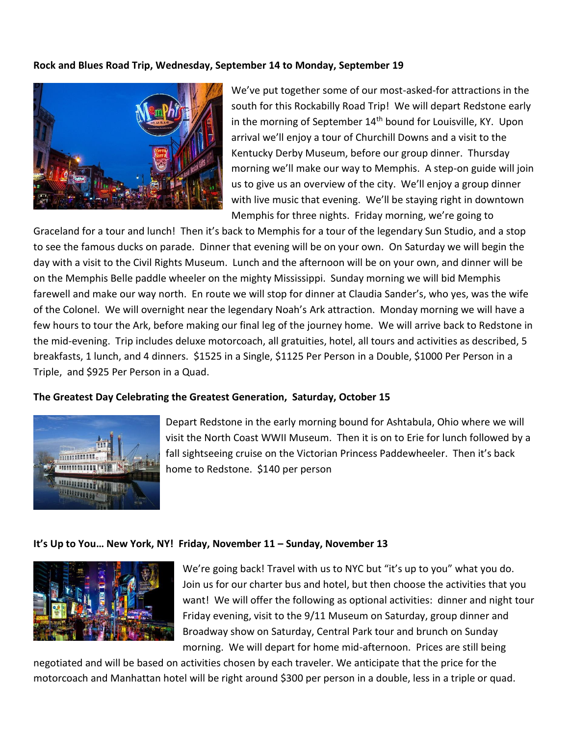#### **Rock and Blues Road Trip, Wednesday, September 14 to Monday, September 19**



We've put together some of our most-asked-for attractions in the south for this Rockabilly Road Trip! We will depart Redstone early in the morning of September 14<sup>th</sup> bound for Louisville, KY. Upon arrival we'll enjoy a tour of Churchill Downs and a visit to the Kentucky Derby Museum, before our group dinner. Thursday morning we'll make our way to Memphis. A step-on guide will join us to give us an overview of the city. We'll enjoy a group dinner with live music that evening. We'll be staying right in downtown Memphis for three nights. Friday morning, we're going to

Graceland for a tour and lunch! Then it's back to Memphis for a tour of the legendary Sun Studio, and a stop to see the famous ducks on parade. Dinner that evening will be on your own. On Saturday we will begin the day with a visit to the Civil Rights Museum. Lunch and the afternoon will be on your own, and dinner will be on the Memphis Belle paddle wheeler on the mighty Mississippi. Sunday morning we will bid Memphis farewell and make our way north. En route we will stop for dinner at Claudia Sander's, who yes, was the wife of the Colonel. We will overnight near the legendary Noah's Ark attraction. Monday morning we will have a few hours to tour the Ark, before making our final leg of the journey home. We will arrive back to Redstone in the mid-evening. Trip includes deluxe motorcoach, all gratuities, hotel, all tours and activities as described, 5 breakfasts, 1 lunch, and 4 dinners. \$1525 in a Single, \$1125 Per Person in a Double, \$1000 Per Person in a Triple, and \$925 Per Person in a Quad.

#### **The Greatest Day Celebrating the Greatest Generation, Saturday, October 15**



Depart Redstone in the early morning bound for Ashtabula, Ohio where we will visit the North Coast WWII Museum. Then it is on to Erie for lunch followed by a fall sightseeing cruise on the Victorian Princess Paddewheeler. Then it's back home to Redstone. \$140 per person

#### **It's Up to You… New York, NY! Friday, November 11 – Sunday, November 13**



We're going back! Travel with us to NYC but "it's up to you" what you do. Join us for our charter bus and hotel, but then choose the activities that you want! We will offer the following as optional activities: dinner and night tour Friday evening, visit to the 9/11 Museum on Saturday, group dinner and Broadway show on Saturday, Central Park tour and brunch on Sunday morning. We will depart for home mid-afternoon. Prices are still being

negotiated and will be based on activities chosen by each traveler. We anticipate that the price for the motorcoach and Manhattan hotel will be right around \$300 per person in a double, less in a triple or quad.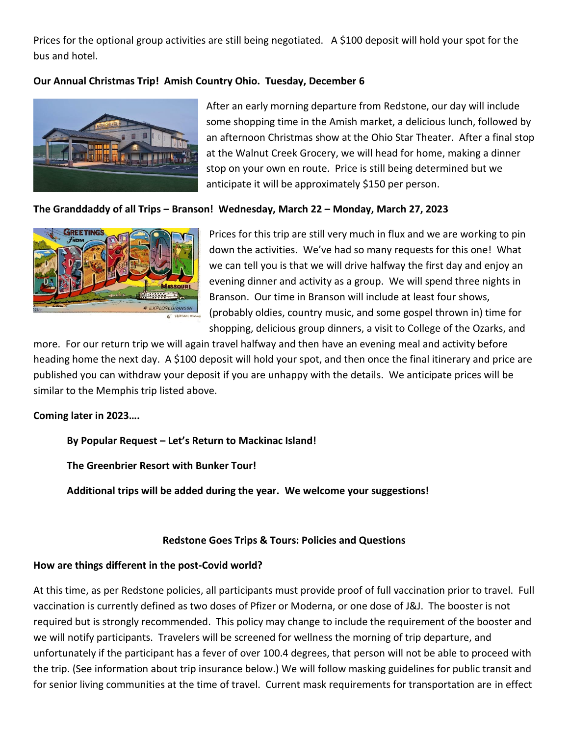Prices for the optional group activities are still being negotiated. A \$100 deposit will hold your spot for the bus and hotel.

# **Our Annual Christmas Trip! Amish Country Ohio. Tuesday, December 6**



After an early morning departure from Redstone, our day will include some shopping time in the Amish market, a delicious lunch, followed by an afternoon Christmas show at the Ohio Star Theater. After a final stop at the Walnut Creek Grocery, we will head for home, making a dinner stop on your own en route. Price is still being determined but we anticipate it will be approximately \$150 per person.

# **The Granddaddy of all Trips – Branson! Wednesday, March 22 – Monday, March 27, 2023**



Prices for this trip are still very much in flux and we are working to pin down the activities. We've had so many requests for this one! What we can tell you is that we will drive halfway the first day and enjoy an evening dinner and activity as a group. We will spend three nights in Branson. Our time in Branson will include at least four shows, (probably oldies, country music, and some gospel thrown in) time for shopping, delicious group dinners, a visit to College of the Ozarks, and

more. For our return trip we will again travel halfway and then have an evening meal and activity before heading home the next day. A \$100 deposit will hold your spot, and then once the final itinerary and price are published you can withdraw your deposit if you are unhappy with the details. We anticipate prices will be similar to the Memphis trip listed above.

# **Coming later in 2023….**

**By Popular Request – Let's Return to Mackinac Island!** 

**The Greenbrier Resort with Bunker Tour!** 

**Additional trips will be added during the year. We welcome your suggestions!** 

# **Redstone Goes Trips & Tours: Policies and Questions**

# **How are things different in the post-Covid world?**

At this time, as per Redstone policies, all participants must provide proof of full vaccination prior to travel. Full vaccination is currently defined as two doses of Pfizer or Moderna, or one dose of J&J. The booster is not required but is strongly recommended. This policy may change to include the requirement of the booster and we will notify participants. Travelers will be screened for wellness the morning of trip departure, and unfortunately if the participant has a fever of over 100.4 degrees, that person will not be able to proceed with the trip. (See information about trip insurance below.) We will follow masking guidelines for public transit and for senior living communities at the time of travel. Current mask requirements for transportation are in effect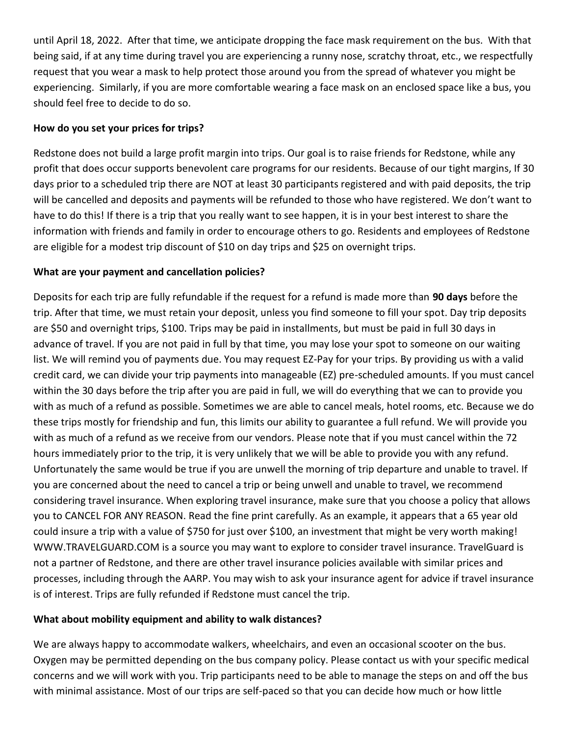until April 18, 2022. After that time, we anticipate dropping the face mask requirement on the bus. With that being said, if at any time during travel you are experiencing a runny nose, scratchy throat, etc., we respectfully request that you wear a mask to help protect those around you from the spread of whatever you might be experiencing. Similarly, if you are more comfortable wearing a face mask on an enclosed space like a bus, you should feel free to decide to do so.

# **How do you set your prices for trips?**

Redstone does not build a large profit margin into trips. Our goal is to raise friends for Redstone, while any profit that does occur supports benevolent care programs for our residents. Because of our tight margins, If 30 days prior to a scheduled trip there are NOT at least 30 participants registered and with paid deposits, the trip will be cancelled and deposits and payments will be refunded to those who have registered. We don't want to have to do this! If there is a trip that you really want to see happen, it is in your best interest to share the information with friends and family in order to encourage others to go. Residents and employees of Redstone are eligible for a modest trip discount of \$10 on day trips and \$25 on overnight trips.

# **What are your payment and cancellation policies?**

Deposits for each trip are fully refundable if the request for a refund is made more than **90 days** before the trip. After that time, we must retain your deposit, unless you find someone to fill your spot. Day trip deposits are \$50 and overnight trips, \$100. Trips may be paid in installments, but must be paid in full 30 days in advance of travel. If you are not paid in full by that time, you may lose your spot to someone on our waiting list. We will remind you of payments due. You may request EZ-Pay for your trips. By providing us with a valid credit card, we can divide your trip payments into manageable (EZ) pre-scheduled amounts. If you must cancel within the 30 days before the trip after you are paid in full, we will do everything that we can to provide you with as much of a refund as possible. Sometimes we are able to cancel meals, hotel rooms, etc. Because we do these trips mostly for friendship and fun, this limits our ability to guarantee a full refund. We will provide you with as much of a refund as we receive from our vendors. Please note that if you must cancel within the 72 hours immediately prior to the trip, it is very unlikely that we will be able to provide you with any refund. Unfortunately the same would be true if you are unwell the morning of trip departure and unable to travel. If you are concerned about the need to cancel a trip or being unwell and unable to travel, we recommend considering travel insurance. When exploring travel insurance, make sure that you choose a policy that allows you to CANCEL FOR ANY REASON. Read the fine print carefully. As an example, it appears that a 65 year old could insure a trip with a value of \$750 for just over \$100, an investment that might be very worth making! WWW.TRAVELGUARD.COM is a source you may want to explore to consider travel insurance. TravelGuard is not a partner of Redstone, and there are other travel insurance policies available with similar prices and processes, including through the AARP. You may wish to ask your insurance agent for advice if travel insurance is of interest. Trips are fully refunded if Redstone must cancel the trip.

#### **What about mobility equipment and ability to walk distances?**

We are always happy to accommodate walkers, wheelchairs, and even an occasional scooter on the bus. Oxygen may be permitted depending on the bus company policy. Please contact us with your specific medical concerns and we will work with you. Trip participants need to be able to manage the steps on and off the bus with minimal assistance. Most of our trips are self-paced so that you can decide how much or how little